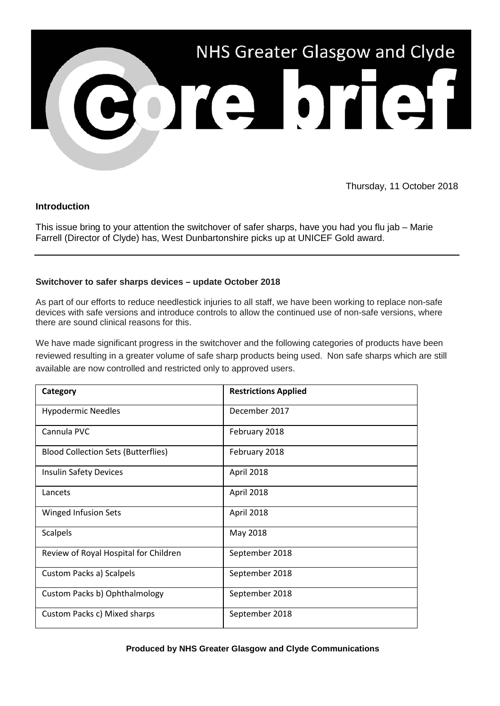

Thursday, 11 October 2018

# **Introduction**

This issue bring to your attention the switchover of safer sharps, have you had you flu jab – Marie Farrell (Director of Clyde) has, West Dunbartonshire picks up at UNICEF Gold award.

## **Switchover to safer sharps devices – update October 2018**

As part of our efforts to reduce needlestick injuries to all staff, we have been working to replace non-safe devices with safe versions and introduce controls to allow the continued use of non-safe versions, where there are sound clinical reasons for this.

We have made significant progress in the switchover and the following categories of products have been reviewed resulting in a greater volume of safe sharp products being used. Non safe sharps which are still available are now controlled and restricted only to approved users.

| Category                                   | <b>Restrictions Applied</b> |
|--------------------------------------------|-----------------------------|
| <b>Hypodermic Needles</b>                  | December 2017               |
| Cannula PVC                                | February 2018               |
| <b>Blood Collection Sets (Butterflies)</b> | February 2018               |
| <b>Insulin Safety Devices</b>              | April 2018                  |
| Lancets                                    | April 2018                  |
| Winged Infusion Sets                       | April 2018                  |
| <b>Scalpels</b>                            | May 2018                    |
| Review of Royal Hospital for Children      | September 2018              |
| Custom Packs a) Scalpels                   | September 2018              |
| Custom Packs b) Ophthalmology              | September 2018              |
| Custom Packs c) Mixed sharps               | September 2018              |

### **Produced by NHS Greater Glasgow and Clyde Communications**